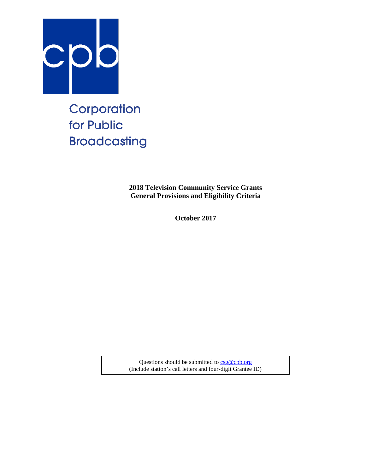

# Corporation for Public **Broadcasting**

**2018 Television Community Service Grants General Provisions and Eligibility Criteria**

**October 2017**

Questions should be submitted t[o csg@cpb.org](mailto:csg@cpb.org) (Include station's call letters and four-digit Grantee ID)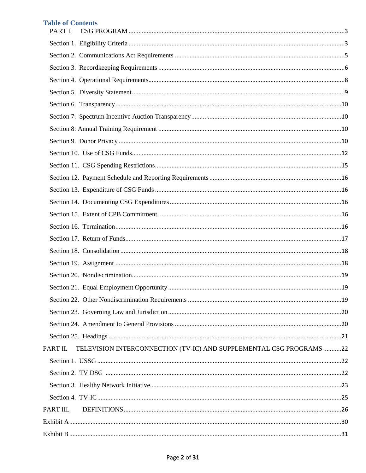## **Table of Contents**

| PART I.                                                                         |  |
|---------------------------------------------------------------------------------|--|
|                                                                                 |  |
|                                                                                 |  |
|                                                                                 |  |
|                                                                                 |  |
|                                                                                 |  |
|                                                                                 |  |
|                                                                                 |  |
|                                                                                 |  |
|                                                                                 |  |
|                                                                                 |  |
|                                                                                 |  |
|                                                                                 |  |
|                                                                                 |  |
|                                                                                 |  |
|                                                                                 |  |
|                                                                                 |  |
|                                                                                 |  |
|                                                                                 |  |
|                                                                                 |  |
|                                                                                 |  |
|                                                                                 |  |
|                                                                                 |  |
|                                                                                 |  |
|                                                                                 |  |
|                                                                                 |  |
| TELEVISION INTERCONNECTION (TV-IC) AND SUPPLEMENTAL CSG PROGRAMS 22<br>PART II. |  |
|                                                                                 |  |
|                                                                                 |  |
|                                                                                 |  |
|                                                                                 |  |
| PART III.                                                                       |  |
|                                                                                 |  |
|                                                                                 |  |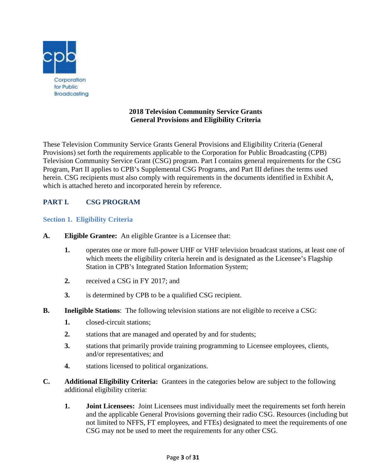

## **2018 Television Community Service Grants General Provisions and Eligibility Criteria**

These Television Community Service Grants General Provisions and Eligibility Criteria (General Provisions) set forth the requirements applicable to the Corporation for Public Broadcasting (CPB) Television Community Service Grant (CSG) program. Part I contains general requirements for the CSG Program, Part II applies to CPB's Supplemental CSG Programs, and Part III defines the terms used herein. CSG recipients must also comply with requirements in the documents identified in Exhibit A, which is attached hereto and incorporated herein by reference.

# <span id="page-2-0"></span>**PART I. CSG PROGRAM**

## <span id="page-2-1"></span>**Section 1. Eligibility Criteria**

- **A. Eligible Grantee:** An eligible Grantee is a Licensee that:
	- **1.** operates one or more full-power UHF or VHF television broadcast stations, at least one of which meets the eligibility criteria herein and is designated as the Licensee's Flagship Station in CPB's Integrated Station Information System;
	- **2.** received a CSG in FY 2017; and
	- **3.** is determined by CPB to be a qualified CSG recipient.
- **B.** Ineligible Stations: The following television stations are not eligible to receive a CSG:
	- **1.** closed-circuit stations;
	- **2.** stations that are managed and operated by and for students;
	- **3.** stations that primarily provide training programming to Licensee employees, clients, and/or representatives; and
	- **4.** stations licensed to political organizations.
- **C. Additional Eligibility Criteria:** Grantees in the categories below are subject to the following additional eligibility criteria:
	- **1. Joint Licensees:** Joint Licensees must individually meet the requirements set forth herein and the applicable General Provisions governing their radio CSG. Resources (including but not limited to NFFS, FT employees, and FTEs) designated to meet the requirements of one CSG may not be used to meet the requirements for any other CSG.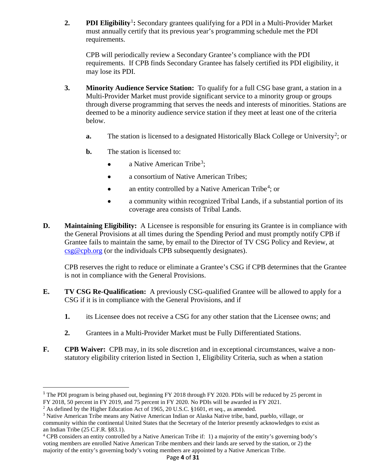**2. PDI Eligibility**<sup>[1](#page-3-0)</sup>: Secondary grantees qualifying for a PDI in a Multi-Provider Market must annually certify that its previous year's programming schedule met the PDI requirements.

CPB will periodically review a Secondary Grantee's compliance with the PDI requirements. If CPB finds Secondary Grantee has falsely certified its PDI eligibility, it may lose its PDI.

- **3. Minority Audience Service Station:** To qualify for a full CSG base grant, a station in a Multi-Provider Market must provide significant service to a minority group or groups through diverse programming that serves the needs and interests of minorities. Stations are deemed to be a minority audience service station if they meet at least one of the criteria below.
	- a. The station is licensed to a designated Historically Black College or University<sup>[2](#page-3-1)</sup>; or
	- **b.** The station is licensed to:
		- a Native American Tribe<sup>[3](#page-3-2)</sup>;
		- a consortium of Native American Tribes;
		- an entity controlled by a Native American Tribe<sup>[4](#page-3-3)</sup>; or
		- a community within recognized Tribal Lands, if a substantial portion of its coverage area consists of Tribal Lands.
- **D. Maintaining Eligibility:** A Licensee is responsible for ensuring its Grantee is in compliance with the General Provisions at all times during the Spending Period and must promptly notify CPB if Grantee fails to maintain the same, by email to the Director of TV CSG Policy and Review, at [csg@cpb.org](mailto:csg@cpb.org) (or the individuals CPB subsequently designates).

CPB reserves the right to reduce or eliminate a Grantee's CSG if CPB determines that the Grantee is not in compliance with the General Provisions.

- **E. TV CSG Re-Qualification:** A previously CSG-qualified Grantee will be allowed to apply for a CSG if it is in compliance with the General Provisions, and if
	- **1.** its Licensee does not receive a CSG for any other station that the Licensee owns; and
	- **2.** Grantees in a Multi-Provider Market must be Fully Differentiated Stations.
- **F. CPB Waiver:** CPB may, in its sole discretion and in exceptional circumstances, waive a nonstatutory eligibility criterion listed in Section 1, Eligibility Criteria, such as when a station

<span id="page-3-0"></span><sup>&</sup>lt;sup>1</sup> The PDI program is being phased out, beginning FY 2018 through FY 2020. PDIs will be reduced by 25 percent in FY 2018, 50 percent in FY 2019, and 75 percent in FY 2020. No PDIs will be awarded in FY 2021.

<span id="page-3-1"></span><sup>&</sup>lt;sup>2</sup> As defined by the Higher Education Act of 1965, 20 U.S.C. §1601, et seq., as amended.

<span id="page-3-2"></span><sup>&</sup>lt;sup>3</sup> Native American Tribe means any Native American Indian or Alaska Native tribe, band, pueblo, village, or community within the continental United States that the Secretary of the Interior presently acknowledges to exist as an Indian Tribe (25 C.F.R. §83.1).

<span id="page-3-3"></span><sup>4</sup> CPB considers an entity controlled by a Native American Tribe if: 1) a majority of the entity's governing body's voting members are enrolled Native American Tribe members and their lands are served by the station, or 2) the majority of the entity's governing body's voting members are appointed by a Native American Tribe.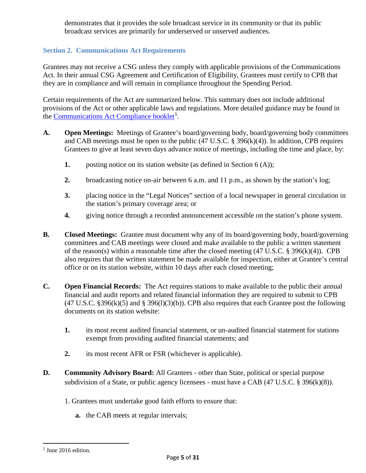demonstrates that it provides the sole broadcast service in its community or that its public broadcast services are primarily for underserved or unserved audiences.

## <span id="page-4-0"></span>**Section 2. Communications Act Requirements**

Grantees may not receive a CSG unless they comply with applicable provisions of the Communications Act. In their annual CSG Agreement and Certification of Eligibility, Grantees must certify to CPB that they are in compliance and will remain in compliance throughout the Spending Period.

Certain requirements of the Act are summarized below. This summary does not include additional provisions of the Act or other applicable laws and regulations. More detailed guidance may be found in the [Communications Act Compliance booklet](http://www.cpb.org/stations/certification)<sup>[5](#page-4-1)</sup>.

- **A. Open Meetings:** Meetings of Grantee's board/governing body, board/governing body committees and CAB meetings must be open to the public (47 U.S.C. § 396(k)(4)). In addition, CPB requires Grantees to give at least seven days advance notice of meetings, including the time and place, by:
	- **1.** posting notice on its station website (as defined in Section 6 (A));
	- **2.** broadcasting notice on-air between 6 a.m. and 11 p.m., as shown by the station's log;
	- **3.** placing notice in the "Legal Notices" section of a local newspaper in general circulation in the station's primary coverage area; or
	- **4.** giving notice through a recorded announcement accessible on the station's phone system.
- **B. Closed Meetings:** Grantee must document why any of its board/governing body, board/governing committees and CAB meetings were closed and make available to the public a written statement of the reason(s) within a reasonable time after the closed meeting (47 U.S.C. § 396(k)(4)). CPB also requires that the written statement be made available for inspection, either at Grantee's central office or on its station website, within 10 days after each closed meeting;
- **C. Open Financial Records:** The Act requires stations to make available to the public their annual financial and audit reports and related financial information they are required to submit to CPB  $(47 \text{ U.S.C. } §396(k)(5)$  and § 396(1)(3)(b)). CPB also requires that each Grantee post the following documents on its station website:
	- **1.** its most recent audited financial statement, or un-audited financial statement for stations exempt from providing audited financial statements; and
	- **2.** its most recent AFR or FSR (whichever is applicable).
- **D. Community Advisory Board:** All Grantees other than State, political or special purpose subdivision of a State, or public agency licensees - must have a CAB (47 U.S.C. § 396(k)(8)).
	- 1. Grantees must undertake good faith efforts to ensure that:
		- **a.** the CAB meets at regular intervals;

l

<span id="page-4-1"></span><sup>5</sup> June 2016 edition.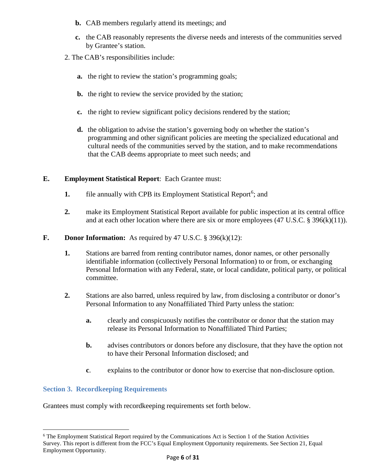- **b.** CAB members regularly attend its meetings; and
- **c.** the CAB reasonably represents the diverse needs and interests of the communities served by Grantee's station.
- 2. The CAB's responsibilities include:
	- **a.** the right to review the station's programming goals;
	- **b.** the right to review the service provided by the station;
	- **c.** the right to review significant policy decisions rendered by the station;
	- **d.** the obligation to advise the station's governing body on whether the station's programming and other significant policies are meeting the specialized educational and cultural needs of the communities served by the station, and to make recommendations that the CAB deems appropriate to meet such needs; and

#### **E. Employment Statistical Report**: Each Grantee must:

- 1. file annually with CPB its Employment Statistical Report<sup>[6](#page-5-1)</sup>; and
- **2.** make its Employment Statistical Report available for public inspection at its central office and at each other location where there are six or more employees (47 U.S.C. § 396(k)(11)).

#### **F. Donor Information:** As required by 47 U.S.C. § 396(k)(12):

- **1.** Stations are barred from renting contributor names, donor names, or other personally identifiable information (collectively Personal Information) to or from, or exchanging Personal Information with any Federal, state, or local candidate, political party, or political committee.
- **2.** Stations are also barred, unless required by law, from disclosing a contributor or donor's Personal Information to any Nonaffiliated Third Party unless the station:
	- **a.** clearly and conspicuously notifies the contributor or donor that the station may release its Personal Information to Nonaffiliated Third Parties;
	- **b.** advises contributors or donors before any disclosure, that they have the option not to have their Personal Information disclosed; and
	- **c**. explains to the contributor or donor how to exercise that non-disclosure option.

#### <span id="page-5-0"></span>**Section 3. Recordkeeping Requirements**

l

Grantees must comply with recordkeeping requirements set forth below.

<span id="page-5-1"></span><sup>6</sup> The Employment Statistical Report required by the Communications Act is Section 1 of the Station Activities Survey. This report is different from the FCC's Equal Employment Opportunity requirements. See Section 21, Equal Employment Opportunity.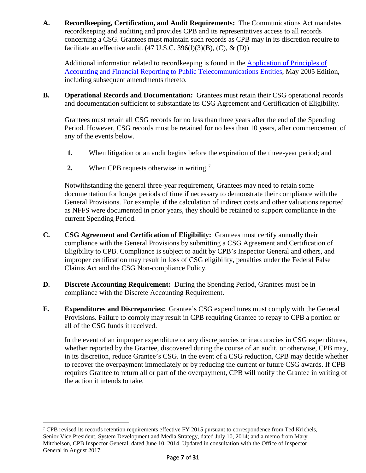**A. Recordkeeping, Certification, and Audit Requirements:** The Communications Act mandates recordkeeping and auditing and provides CPB and its representatives access to all records concerning a CSG. Grantees must maintain such records as CPB may in its discretion require to facilitate an effective audit.  $(47 \text{ U.S.C. } 396(l)(3)(B), (C), \& (D))$ 

Additional information related to recordkeeping is found in the [Application of Principles of](http://www.cpb.org/stations/principles/principlesofaccounting050818.pdf)  [Accounting and Financial Reporting to Public Telecommunications Entities,](http://www.cpb.org/stations/principles/principlesofaccounting050818.pdf) May 2005 Edition, including subsequent amendments thereto.

**B. Operational Records and Documentation:** Grantees must retain their CSG operational records and documentation sufficient to substantiate its CSG Agreement and Certification of Eligibility.

Grantees must retain all CSG records for no less than three years after the end of the Spending Period. However, CSG records must be retained for no less than 10 years, after commencement of any of the events below.

- **1.** When litigation or an audit begins before the expiration of the three-year period; and
- **2.** When CPB requests otherwise in writing.<sup>[7](#page-6-0)</sup>

Notwithstanding the general three-year requirement, Grantees may need to retain some documentation for longer periods of time if necessary to demonstrate their compliance with the General Provisions. For example, if the calculation of indirect costs and other valuations reported as NFFS were documented in prior years, they should be retained to support compliance in the current Spending Period.

- **C. CSG Agreement and Certification of Eligibility:** Grantees must certify annually their compliance with the General Provisions by submitting a CSG Agreement and Certification of Eligibility to CPB. Compliance is subject to audit by CPB's Inspector General and others, and improper certification may result in loss of CSG eligibility, penalties under the Federal False Claims Act and the CSG Non-compliance Policy.
- **D. Discrete Accounting Requirement:** During the Spending Period, Grantees must be in compliance with the Discrete Accounting Requirement.
- **E. Expenditures and Discrepancies:** Grantee's CSG expenditures must comply with the General Provisions. Failure to comply may result in CPB requiring Grantee to repay to CPB a portion or all of the CSG funds it received.

In the event of an improper expenditure or any discrepancies or inaccuracies in CSG expenditures, whether reported by the Grantee, discovered during the course of an audit, or otherwise, CPB may, in its discretion, reduce Grantee's CSG. In the event of a CSG reduction, CPB may decide whether to recover the overpayment immediately or by reducing the current or future CSG awards. If CPB requires Grantee to return all or part of the overpayment, CPB will notify the Grantee in writing of the action it intends to take.

 $\overline{\phantom{a}}$ 

<span id="page-6-0"></span><sup>&</sup>lt;sup>7</sup> CPB revised its records retention requirements effective FY 2015 pursuant to correspondence from Ted Krichels, Senior Vice President, System Development and Media Strategy, dated July 10, 2014; and a memo from Mary Mitchelson, CPB Inspector General, dated June 10, 2014. Updated in consultation with the Office of Inspector General in August 2017.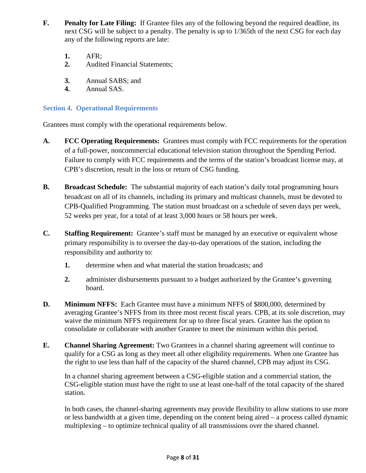- **F. Penalty for Late Filing:** If Grantee files any of the following beyond the required deadline, its next CSG will be subject to a penalty. The penalty is up to 1/365th of the next CSG for each day any of the following reports are late:
	- **1.** AFR;
	- **2.** Audited Financial Statements;
	- **3.** Annual SABS; and
	- **4.** Annual SAS.

## <span id="page-7-0"></span>**Section 4. Operational Requirements**

Grantees must comply with the operational requirements below.

- **A. FCC Operating Requirements:** Grantees must comply with FCC requirements for the operation of a full-power, noncommercial educational television station throughout the Spending Period. Failure to comply with FCC requirements and the terms of the station's broadcast license may, at CPB's discretion, result in the loss or return of CSG funding.
- **B. Broadcast Schedule:** The substantial majority of each station's daily total programming hours broadcast on all of its channels, including its primary and multicast channels, must be devoted to CPB-Qualified Programming. The station must broadcast on a schedule of seven days per week, 52 weeks per year, for a total of at least 3,000 hours or 58 hours per week.
- **C. Staffing Requirement:** Grantee's staff must be managed by an executive or equivalent whose primary responsibility is to oversee the day-to-day operations of the station, including the responsibility and authority to:
	- **1.** determine when and what material the station broadcasts; and
	- **2.** administer disbursements pursuant to a budget authorized by the Grantee's governing board.
- **D. Minimum NFFS:** Each Grantee must have a minimum NFFS of \$800,000, determined by averaging Grantee's NFFS from its three most recent fiscal years. CPB, at its sole discretion, may waive the minimum NFFS requirement for up to three fiscal years. Grantee has the option to consolidate or collaborate with another Grantee to meet the minimum within this period.
- **E. Channel Sharing Agreement:** Two Grantees in a channel sharing agreement will continue to qualify for a CSG as long as they meet all other eligibility requirements. When one Grantee has the right to use less than half of the capacity of the shared channel, CPB may adjust its CSG.

In a channel sharing agreement between a CSG-eligible station and a commercial station, the CSG-eligible station must have the right to use at least one-half of the total capacity of the shared station.

In both cases, the channel-sharing agreements may provide flexibility to allow stations to use more or less bandwidth at a given time, depending on the content being aired – a process called dynamic multiplexing – to optimize technical quality of all transmissions over the shared channel.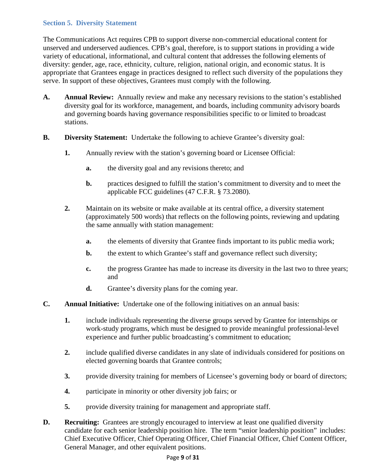## <span id="page-8-0"></span>**Section 5. Diversity Statement**

The Communications Act requires CPB to support diverse non-commercial educational content for unserved and underserved audiences. CPB's goal, therefore, is to support stations in providing a wide variety of educational, informational, and cultural content that addresses the following elements of diversity: gender, age, race, ethnicity, culture, religion, national origin, and economic status. It is appropriate that Grantees engage in practices designed to reflect such diversity of the populations they serve. In support of these objectives, Grantees must comply with the following.

- **A. Annual Review:** Annually review and make any necessary revisions to the station's established diversity goal for its workforce, management, and boards, including community advisory boards and governing boards having governance responsibilities specific to or limited to broadcast stations.
- **B. Diversity Statement:** Undertake the following to achieve Grantee's diversity goal:
	- **1.** Annually review with the station's governing board or Licensee Official:
		- **a.** the diversity goal and any revisions thereto; and
		- **b.** practices designed to fulfill the station's commitment to diversity and to meet the applicable FCC guidelines (47 C.F.R. § 73.2080).
	- **2.** Maintain on its website or make available at its central office, a diversity statement (approximately 500 words) that reflects on the following points, reviewing and updating the same annually with station management:
		- **a.** the elements of diversity that Grantee finds important to its public media work;
		- **b.** the extent to which Grantee's staff and governance reflect such diversity;
		- **c.** the progress Grantee has made to increase its diversity in the last two to three years; and
		- **d.** Grantee's diversity plans for the coming year.
- **C. Annual Initiative:** Undertake one of the following initiatives on an annual basis:
	- **1.** include individuals representing the diverse groups served by Grantee for internships or work-study programs, which must be designed to provide meaningful professional-level experience and further public broadcasting's commitment to education;
	- **2.** include qualified diverse candidates in any slate of individuals considered for positions on elected governing boards that Grantee controls;
	- **3.** provide diversity training for members of Licensee's governing body or board of directors;
	- **4.** participate in minority or other diversity job fairs; or
	- **5.** provide diversity training for management and appropriate staff.
- **D. Recruiting:** Grantees are strongly encouraged to interview at least one qualified diversity candidate for each senior leadership position hire. The term "senior leadership position" includes: Chief Executive Officer, Chief Operating Officer, Chief Financial Officer, Chief Content Officer, General Manager, and other equivalent positions.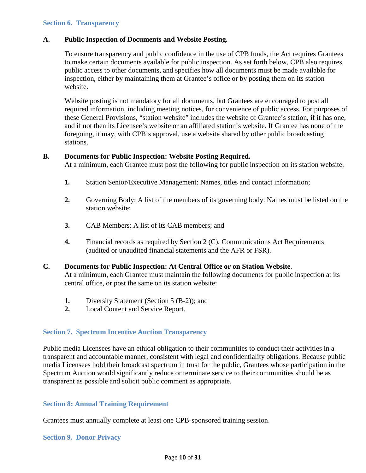#### <span id="page-9-0"></span>**A. Public Inspection of Documents and Website Posting.**

To ensure transparency and public confidence in the use of CPB funds, the Act requires Grantees to make certain documents available for public inspection. As set forth below, CPB also requires public access to other documents, and specifies how all documents must be made available for inspection, either by maintaining them at Grantee's office or by posting them on its station website.

Website posting is not mandatory for all documents, but Grantees are encouraged to post all required information, including meeting notices, for convenience of public access. For purposes of these General Provisions, "station website" includes the website of Grantee's station, if it has one, and if not then its Licensee's website or an affiliated station's website. If Grantee has none of the foregoing, it may, with CPB's approval, use a website shared by other public broadcasting stations.

#### **B. Documents for Public Inspection: Website Posting Required.**

At a minimum, each Grantee must post the following for public inspection on its station website.

- **1.** Station Senior/Executive Management: Names, titles and contact information;
- **2.** Governing Body: A list of the members of its governing body. Names must be listed on the station website;
- **3.** CAB Members: A list of its CAB members; and
- **4.** Financial records as required by Section 2 (C), Communications Act Requirements (audited or unaudited financial statements and the AFR or FSR).

#### **C. Documents for Public Inspection: At Central Office or on Station Website**.

At a minimum, each Grantee must maintain the following documents for public inspection at its central office, or post the same on its station website:

- **1.** Diversity Statement (Section 5 (B-2)); and
- **2.** Local Content and Service Report.

#### <span id="page-9-1"></span>**Section 7. Spectrum Incentive Auction Transparency**

Public media Licensees have an ethical obligation to their communities to conduct their activities in a transparent and accountable manner, consistent with legal and confidentiality obligations. Because public media Licensees hold their broadcast spectrum in trust for the public, Grantees whose participation in the Spectrum Auction would significantly reduce or terminate service to their communities should be as transparent as possible and solicit public comment as appropriate.

### <span id="page-9-2"></span>**Section 8: Annual Training Requirement**

Grantees must annually complete at least one CPB-sponsored training session.

#### <span id="page-9-3"></span>**Section 9. Donor Privacy**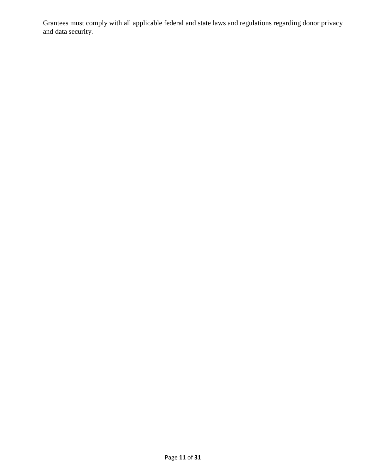Grantees must comply with all applicable federal and state laws and regulations regarding donor privacy and data security.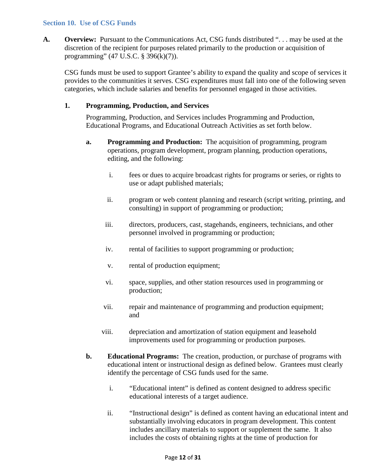#### <span id="page-11-0"></span>**Section 10. Use of CSG Funds**

**A. Overview:** Pursuant to the Communications Act, CSG funds distributed ". . . may be used at the discretion of the recipient for purposes related primarily to the production or acquisition of programming" (47 U.S.C. § 396(k)(7)).

CSG funds must be used to support Grantee's ability to expand the quality and scope of services it provides to the communities it serves. CSG expenditures must fall into one of the following seven categories, which include salaries and benefits for personnel engaged in those activities.

#### **1. Programming, Production, and Services**

Programming, Production, and Services includes Programming and Production, Educational Programs, and Educational Outreach Activities as set forth below.

- **a. Programming and Production:** The acquisition of programming, program operations, program development, program planning, production operations, editing, and the following:
	- i. fees or dues to acquire broadcast rights for programs or series, or rights to use or adapt published materials;
	- ii. program or web content planning and research (script writing, printing, and consulting) in support of programming or production;
	- iii. directors, producers, cast, stagehands, engineers, technicians, and other personnel involved in programming or production;
	- iv. rental of facilities to support programming or production;
	- v. rental of production equipment;
	- vi. space, supplies, and other station resources used in programming or production;
	- vii. repair and maintenance of programming and production equipment; and
	- viii. depreciation and amortization of station equipment and leasehold improvements used for programming or production purposes.
- **b. Educational Programs:** The creation, production, or purchase of programs with educational intent or instructional design as defined below. Grantees must clearly identify the percentage of CSG funds used for the same.
	- i. "Educational intent" is defined as content designed to address specific educational interests of a target audience.
	- ii. "Instructional design" is defined as content having an educational intent and substantially involving educators in program development. This content includes ancillary materials to support or supplement the same. It also includes the costs of obtaining rights at the time of production for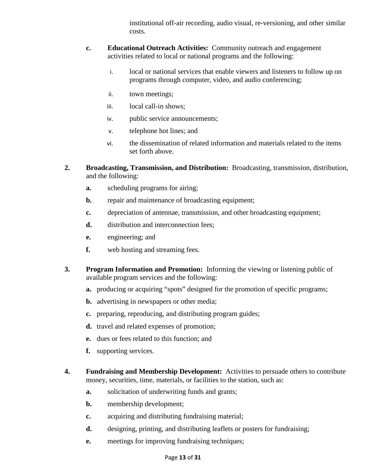institutional off-air recording, audio visual, re-versioning, and other similar costs.

- **c. Educational Outreach Activities:** Community outreach and engagement activities related to local or national programs and the following:
	- i. local or national services that enable viewers and listeners to follow up on programs through computer, video, and audio conferencing;
	- ii. town meetings;
	- iii. local call-in shows;
	- iv. public service announcements;
	- v. telephone hot lines; and
	- vi. the dissemination of related information and materials related to the items set forth above.
- **2. Broadcasting, Transmission, and Distribution:** Broadcasting, transmission, distribution, and the following:
	- **a.** scheduling programs for airing;
	- **b.** repair and maintenance of broadcasting equipment;
	- **c.** depreciation of antennae, transmission, and other broadcasting equipment;
	- **d.** distribution and interconnection fees:
	- **e.** engineering; and
	- **f.** web hosting and streaming fees.
- **3. Program Information and Promotion:** Informing the viewing or listening public of available program services and the following:
	- **a.** producing or acquiring "spots" designed for the promotion of specific programs;
	- **b.** advertising in newspapers or other media;
	- **c.** preparing, reproducing, and distributing program guides;
	- **d.** travel and related expenses of promotion;
	- **e.** dues or fees related to this function; and
	- **f.** supporting services.
- **4. Fundraising and Membership Development:** Activities to persuade others to contribute money, securities, time, materials, or facilities to the station, such as:
	- **a.** solicitation of underwriting funds and grants;
	- **b.** membership development;
	- **c.** acquiring and distributing fundraising material;
	- **d.** designing, printing, and distributing leaflets or posters for fundraising;
	- **e.** meetings for improving fundraising techniques;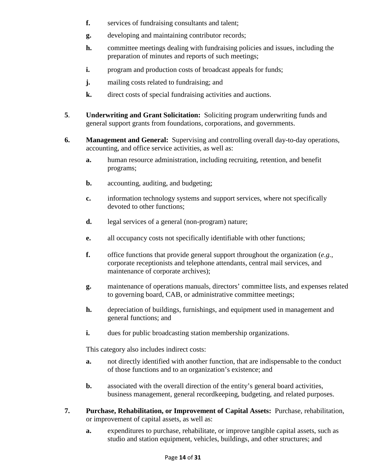- **f.** services of fundraising consultants and talent;
- **g.** developing and maintaining contributor records;
- **h.** committee meetings dealing with fundraising policies and issues, including the preparation of minutes and reports of such meetings;
- **i.** program and production costs of broadcast appeals for funds;
- **j.** mailing costs related to fundraising; and
- **k.** direct costs of special fundraising activities and auctions.
- **5**. **Underwriting and Grant Solicitation:** Soliciting program underwriting funds and general support grants from foundations, corporations, and governments.
- **6. Management and General:** Supervising and controlling overall day-to-day operations, accounting, and office service activities, as well as:
	- **a.** human resource administration, including recruiting, retention, and benefit programs;
	- **b.** accounting, auditing, and budgeting;
	- **c.** information technology systems and support services, where not specifically devoted to other functions;
	- **d.** legal services of a general (non-program) nature;
	- **e.** all occupancy costs not specifically identifiable with other functions;
	- **f.** office functions that provide general support throughout the organization (*e.g.*, corporate receptionists and telephone attendants, central mail services, and maintenance of corporate archives);
	- **g.** maintenance of operations manuals, directors' committee lists, and expenses related to governing board, CAB, or administrative committee meetings;
	- **h.** depreciation of buildings, furnishings, and equipment used in management and general functions; and
	- **i.** dues for public broadcasting station membership organizations.

This category also includes indirect costs:

- **a.** not directly identified with another function, that are indispensable to the conduct of those functions and to an organization's existence; and
- **b.** associated with the overall direction of the entity's general board activities, business management, general recordkeeping, budgeting, and related purposes.
- **7. Purchase, Rehabilitation, or Improvement of Capital Assets:** Purchase, rehabilitation, or improvement of capital assets, as well as:
	- **a.** expenditures to purchase, rehabilitate, or improve tangible capital assets, such as studio and station equipment, vehicles, buildings, and other structures; and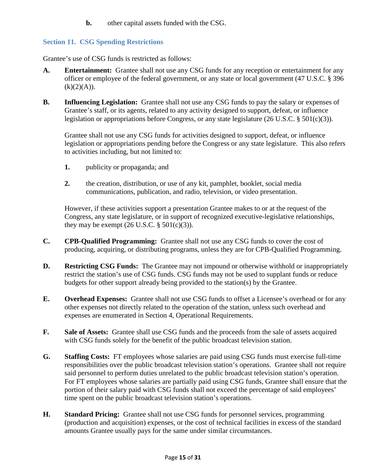**b.** other capital assets funded with the CSG.

## <span id="page-14-0"></span>**Section 11. CSG Spending Restrictions**

Grantee's use of CSG funds is restricted as follows:

- **A. Entertainment:** Grantee shall not use any CSG funds for any reception or entertainment for any officer or employee of the federal government, or any state or local government (47 U.S.C. § 396  $(k)(2)(A)).$
- **B. Influencing Legislation:** Grantee shall not use any CSG funds to pay the salary or expenses of Grantee's staff, or its agents, related to any activity designed to support, defeat, or influence legislation or appropriations before Congress, or any state legislature (26 U.S.C. § 501(c)(3)).

Grantee shall not use any CSG funds for activities designed to support, defeat, or influence legislation or appropriations pending before the Congress or any state legislature. This also refers to activities including, but not limited to:

- **1.** publicity or propaganda; and
- **2.** the creation, distribution, or use of any kit, pamphlet, booklet, social media communications, publication, and radio, television, or video presentation.

However, if these activities support a presentation Grantee makes to or at the request of the Congress, any state legislature, or in support of recognized executive-legislative relationships, they may be exempt  $(26 \text{ U.S.C.} \S 501(c)(3))$ .

- **C. CPB-Qualified Programming:** Grantee shall not use any CSG funds to cover the cost of producing, acquiring, or distributing programs, unless they are for CPB-Qualified Programming.
- **D. Restricting CSG Funds:** The Grantee may not impound or otherwise withhold or inappropriately restrict the station's use of CSG funds. CSG funds may not be used to supplant funds or reduce budgets for other support already being provided to the station(s) by the Grantee.
- **E. Overhead Expenses:** Grantee shall not use CSG funds to offset a Licensee's overhead or for any other expenses not directly related to the operation of the station, unless such overhead and expenses are enumerated in Section 4, Operational Requirements.
- **F. Sale of Assets:** Grantee shall use CSG funds and the proceeds from the sale of assets acquired with CSG funds solely for the benefit of the public broadcast television station.
- **G. Staffing Costs:** FT employees whose salaries are paid using CSG funds must exercise full-time responsibilities over the public broadcast television station's operations. Grantee shall not require said personnel to perform duties unrelated to the public broadcast television station's operation. For FT employees whose salaries are partially paid using CSG funds, Grantee shall ensure that the portion of their salary paid with CSG funds shall not exceed the percentage of said employees' time spent on the public broadcast television station's operations.
- **H. Standard Pricing:** Grantee shall not use CSG funds for personnel services, programming (production and acquisition) expenses, or the cost of technical facilities in excess of the standard amounts Grantee usually pays for the same under similar circumstances.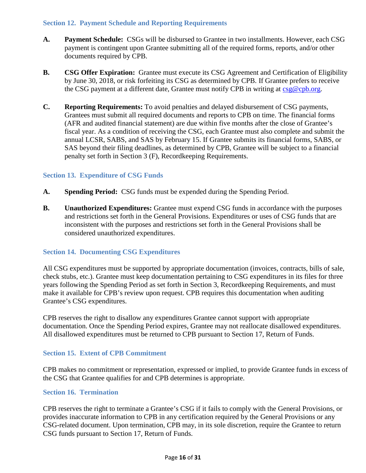## <span id="page-15-0"></span>**Section 12. Payment Schedule and Reporting Requirements**

- **A. Payment Schedule:** CSGs will be disbursed to Grantee in two installments. However, each CSG payment is contingent upon Grantee submitting all of the required forms, reports, and/or other documents required by CPB.
- **B. CSG Offer Expiration:** Grantee must execute its CSG Agreement and Certification of Eligibility by June 30, 2018, or risk forfeiting its CSG as determined by CPB. If Grantee prefers to receive the CSG payment at a different date, Grantee must notify CPB in writing at [csg@cpb.org.](mailto:csg@cpb.org)
- **C. Reporting Requirements:** To avoid penalties and delayed disbursement of CSG payments, Grantees must submit all required documents and reports to CPB on time. The financial forms (AFR and audited financial statement) are due within five months after the close of Grantee's fiscal year. As a condition of receiving the CSG, each Grantee must also complete and submit the annual LCSR, SABS, and SAS by February 15. If Grantee submits its financial forms, SABS, or SAS beyond their filing deadlines, as determined by CPB, Grantee will be subject to a financial penalty set forth in Section 3 (F), Recordkeeping Requirements.

## <span id="page-15-1"></span>**Section 13. Expenditure of CSG Funds**

- **A. Spending Period:** CSG funds must be expended during the Spending Period.
- **B. Unauthorized Expenditures:** Grantee must expend CSG funds in accordance with the purposes and restrictions set forth in the General Provisions. Expenditures or uses of CSG funds that are inconsistent with the purposes and restrictions set forth in the General Provisions shall be considered unauthorized expenditures.

## <span id="page-15-2"></span>**Section 14. Documenting CSG Expenditures**

All CSG expenditures must be supported by appropriate documentation (invoices, contracts, bills of sale, check stubs, etc.). Grantee must keep documentation pertaining to CSG expenditures in its files for three years following the Spending Period as set forth in Section 3, Recordkeeping Requirements, and must make it available for CPB's review upon request. CPB requires this documentation when auditing Grantee's CSG expenditures.

CPB reserves the right to disallow any expenditures Grantee cannot support with appropriate documentation. Once the Spending Period expires, Grantee may not reallocate disallowed expenditures. All disallowed expenditures must be returned to CPB pursuant to Section 17, Return of Funds.

#### <span id="page-15-3"></span>**Section 15. Extent of CPB Commitment**

CPB makes no commitment or representation, expressed or implied, to provide Grantee funds in excess of the CSG that Grantee qualifies for and CPB determines is appropriate.

#### <span id="page-15-4"></span>**Section 16. Termination**

CPB reserves the right to terminate a Grantee's CSG if it fails to comply with the General Provisions, or provides inaccurate information to CPB in any certification required by the General Provisions or any CSG-related document. Upon termination, CPB may, in its sole discretion, require the Grantee to return CSG funds pursuant to Section 17, Return of Funds.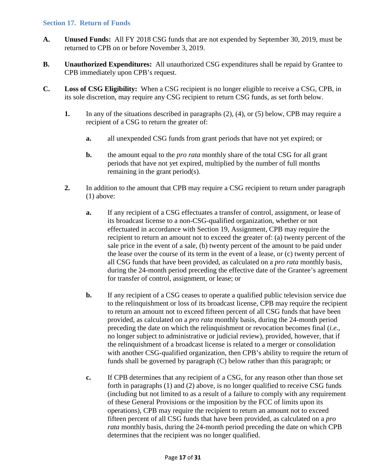#### <span id="page-16-0"></span>**Section 17. Return of Funds**

- **A. Unused Funds:** All FY 2018 CSG funds that are not expended by September 30, 2019, must be returned to CPB on or before November 3, 2019.
- **B. Unauthorized Expenditures:** All unauthorized CSG expenditures shall be repaid by Grantee to CPB immediately upon CPB's request.
- **C. Loss of CSG Eligibility:** When a CSG recipient is no longer eligible to receive a CSG, CPB, in its sole discretion, may require any CSG recipient to return CSG funds, as set forth below.
	- **1.** In any of the situations described in paragraphs (2), (4), or (5) below, CPB may require a recipient of a CSG to return the greater of:
		- **a.** all unexpended CSG funds from grant periods that have not yet expired; or
		- **b.** the amount equal to the *pro rata* monthly share of the total CSG for all grant periods that have not yet expired, multiplied by the number of full months remaining in the grant period(s).
	- **2.** In addition to the amount that CPB may require a CSG recipient to return under paragraph (1) above:
		- **a.** If any recipient of a CSG effectuates a transfer of control, assignment, or lease of its broadcast license to a non-CSG-qualified organization, whether or not effectuated in accordance with Section 19, Assignment, CPB may require the recipient to return an amount not to exceed the greater of: (a) twenty percent of the sale price in the event of a sale, (b) twenty percent of the amount to be paid under the lease over the course of its term in the event of a lease, or (c) twenty percent of all CSG funds that have been provided, as calculated on a *pro rata* monthly basis, during the 24-month period preceding the effective date of the Grantee's agreement for transfer of control, assignment, or lease; or
		- **b.** If any recipient of a CSG ceases to operate a qualified public television service due to the relinquishment or loss of its broadcast license, CPB may require the recipient to return an amount not to exceed fifteen percent of all CSG funds that have been provided, as calculated on a *pro rata* monthly basis, during the 24-month period preceding the date on which the relinquishment or revocation becomes final (*i.e.*, no longer subject to administrative or judicial review), provided, however, that if the relinquishment of a broadcast license is related to a merger or consolidation with another CSG-qualified organization, then CPB's ability to require the return of funds shall be governed by paragraph (C) below rather than this paragraph; or
		- **c.** If CPB determines that any recipient of a CSG, for any reason other than those set forth in paragraphs (1) and (2) above, is no longer qualified to receive CSG funds (including but not limited to as a result of a failure to comply with any requirement of these General Provisions or the imposition by the FCC of limits upon its operations), CPB may require the recipient to return an amount not to exceed fifteen percent of all CSG funds that have been provided, as calculated on a *pro rata* monthly basis, during the 24-month period preceding the date on which CPB determines that the recipient was no longer qualified.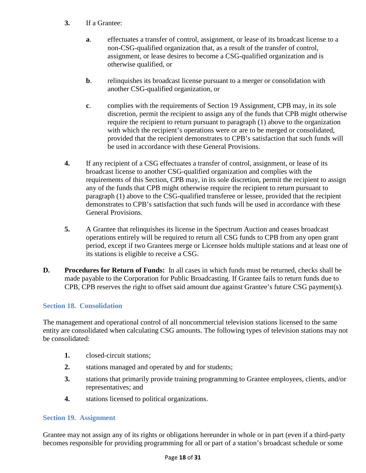- **3.** If a Grantee:
	- **a**. effectuates a transfer of control, assignment, or lease of its broadcast license to a non-CSG-qualified organization that, as a result of the transfer of control, assignment, or lease desires to become a CSG-qualified organization and is otherwise qualified, or
	- **b.** relinquishes its broadcast license pursuant to a merger or consolidation with another CSG-qualified organization, or
	- **c**. complies with the requirements of Section 19 Assignment, CPB may, in its sole discretion, permit the recipient to assign any of the funds that CPB might otherwise require the recipient to return pursuant to paragraph (1) above to the organization with which the recipient's operations were or are to be merged or consolidated, provided that the recipient demonstrates to CPB's satisfaction that such funds will be used in accordance with these General Provisions.
- **4.** If any recipient of a CSG effectuates a transfer of control, assignment, or lease of its broadcast license to another CSG-qualified organization and complies with the requirements of this Section, CPB may, in its sole discretion, permit the recipient to assign any of the funds that CPB might otherwise require the recipient to return pursuant to paragraph (1) above to the CSG-qualified transferee or lessee, provided that the recipient demonstrates to CPB's satisfaction that such funds will be used in accordance with these General Provisions.
- **5.** A Grantee that relinquishes its license in the Spectrum Auction and ceases broadcast operations entirely will be required to return all CSG funds to CPB from any open grant period, except if two Grantees merge or Licensee holds multiple stations and at least one of its stations is eligible to receive a CSG.
- **D. Procedures for Return of Funds:** In all cases in which funds must be returned, checks shall be made payable to the Corporation for Public Broadcasting. If Grantee fails to return funds due to CPB, CPB reserves the right to offset said amount due against Grantee's future CSG payment(s).

## <span id="page-17-0"></span>**Section 18. Consolidation**

The management and operational control of all noncommercial television stations licensed to the same entity are consolidated when calculating CSG amounts. The following types of television stations may not be consolidated:

- **1.** closed-circuit stations;
- **2.** stations managed and operated by and for students;
- **3.** stations that primarily provide training programming to Grantee employees, clients, and/or representatives; and
- **4.** stations licensed to political organizations.

## <span id="page-17-1"></span>**Section 19. Assignment**

Grantee may not assign any of its rights or obligations hereunder in whole or in part (even if a third-party becomes responsible for providing programming for all or part of a station's broadcast schedule or some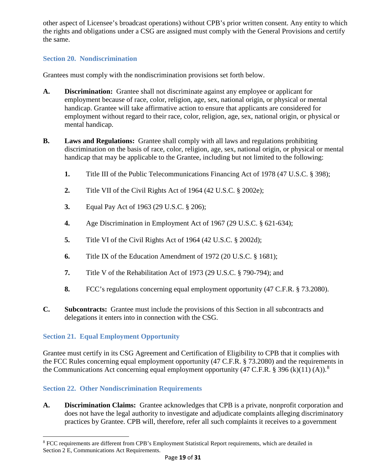other aspect of Licensee's broadcast operations) without CPB's prior written consent. Any entity to which the rights and obligations under a CSG are assigned must comply with the General Provisions and certify the same.

## <span id="page-18-0"></span>**Section 20. Nondiscrimination**

Grantees must comply with the nondiscrimination provisions set forth below.

- **A. Discrimination:** Grantee shall not discriminate against any employee or applicant for employment because of race, color, religion, age, sex, national origin, or physical or mental handicap. Grantee will take affirmative action to ensure that applicants are considered for employment without regard to their race, color, religion, age, sex, national origin, or physical or mental handicap.
- **B. Laws and Regulations:** Grantee shall comply with all laws and regulations prohibiting discrimination on the basis of race, color, religion, age, sex, national origin, or physical or mental handicap that may be applicable to the Grantee, including but not limited to the following:
	- **1.** Title III of the Public Telecommunications Financing Act of 1978 (47 U.S.C. § 398);
	- **2.** Title VII of the Civil Rights Act of 1964 (42 U.S.C. § 2002e);
	- **3.** Equal Pay Act of 1963 (29 U.S.C. § 206);
	- **4.** Age Discrimination in Employment Act of 1967 (29 U.S.C. § 621-634);
	- **5.** Title VI of the Civil Rights Act of 1964 (42 U.S.C. § 2002d);
	- **6.** Title IX of the Education Amendment of 1972 (20 U.S.C. § 1681);
	- **7.** Title V of the Rehabilitation Act of 1973 (29 U.S.C. § 790-794); and
	- **8.** FCC's regulations concerning equal employment opportunity (47 C.F.R. § 73.2080).
- **C. Subcontracts:** Grantee must include the provisions of this Section in all subcontracts and delegations it enters into in connection with the CSG.

# <span id="page-18-1"></span>**Section 21. Equal Employment Opportunity**

 $\overline{\phantom{a}}$ 

Grantee must certify in its CSG Agreement and Certification of Eligibility to CPB that it complies with the FCC Rules concerning equal employment opportunity (47 C.F.R. § 73.2080) and the requirements in the Communications Act concerning equal employment opportunity (47 C.F.R. § 396 (k)(11) (A)).<sup>[8](#page-18-3)</sup>

# <span id="page-18-2"></span>**Section 22. Other Nondiscrimination Requirements**

**A. Discrimination Claims:** Grantee acknowledges that CPB is a private, nonprofit corporation and does not have the legal authority to investigate and adjudicate complaints alleging discriminatory practices by Grantee. CPB will, therefore, refer all such complaints it receives to a government

<span id="page-18-3"></span><sup>8</sup> FCC requirements are different from CPB's Employment Statistical Report requirements, which are detailed in Section 2 E, Communications Act Requirements.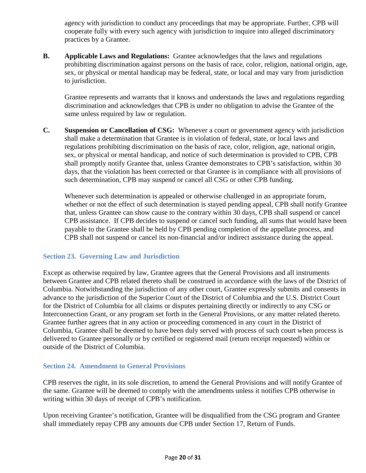agency with jurisdiction to conduct any proceedings that may be appropriate. Further, CPB will cooperate fully with every such agency with jurisdiction to inquire into alleged discriminatory practices by a Grantee.

**B. Applicable Laws and Regulations:** Grantee acknowledges that the laws and regulations prohibiting discrimination against persons on the basis of race, color, religion, national origin, age, sex, or physical or mental handicap may be federal, state, or local and may vary from jurisdiction to jurisdiction.

Grantee represents and warrants that it knows and understands the laws and regulations regarding discrimination and acknowledges that CPB is under no obligation to advise the Grantee of the same unless required by law or regulation.

**C. Suspension or Cancellation of CSG:** Whenever a court or government agency with jurisdiction shall make a determination that Grantee is in violation of federal, state, or local laws and regulations prohibiting discrimination on the basis of race, color, religion, age, national origin, sex, or physical or mental handicap, and notice of such determination is provided to CPB, CPB shall promptly notify Grantee that, unless Grantee demonstrates to CPB's satisfaction, within 30 days, that the violation has been corrected or that Grantee is in compliance with all provisions of such determination, CPB may suspend or cancel all CSG or other CPB funding.

Whenever such determination is appealed or otherwise challenged in an appropriate forum, whether or not the effect of such determination is stayed pending appeal, CPB shall notify Grantee that, unless Grantee can show cause to the contrary within 30 days, CPB shall suspend or cancel CPB assistance. If CPB decides to suspend or cancel such funding, all sums that would have been payable to the Grantee shall be held by CPB pending completion of the appellate process, and CPB shall not suspend or cancel its non-financial and/or indirect assistance during the appeal.

## <span id="page-19-0"></span>**Section 23. Governing Law and Jurisdiction**

Except as otherwise required by law, Grantee agrees that the General Provisions and all instruments between Grantee and CPB related thereto shall be construed in accordance with the laws of the District of Columbia. Notwithstanding the jurisdiction of any other court, Grantee expressly submits and consents in advance to the jurisdiction of the Superior Court of the District of Columbia and the U.S. District Court for the District of Columbia for all claims or disputes pertaining directly or indirectly to any CSG or Interconnection Grant, or any program set forth in the General Provisions, or any matter related thereto. Grantee further agrees that in any action or proceeding commenced in any court in the District of Columbia, Grantee shall be deemed to have been duly served with process of such court when process is delivered to Grantee personally or by certified or registered mail (return receipt requested) within or outside of the District of Columbia.

#### <span id="page-19-1"></span>**Section 24. Amendment to General Provisions**

CPB reserves the right, in its sole discretion, to amend the General Provisions and will notify Grantee of the same. Grantee will be deemed to comply with the amendments unless it notifies CPB otherwise in writing within 30 days of receipt of CPB's notification.

Upon receiving Grantee's notification, Grantee will be disqualified from the CSG program and Grantee shall immediately repay CPB any amounts due CPB under Section 17, Return of Funds.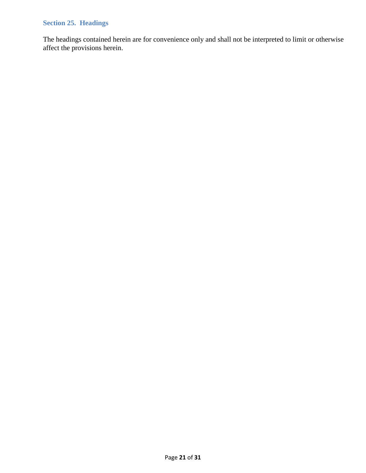## <span id="page-20-0"></span>**Section 25. Headings**

The headings contained herein are for convenience only and shall not be interpreted to limit or otherwise affect the provisions herein.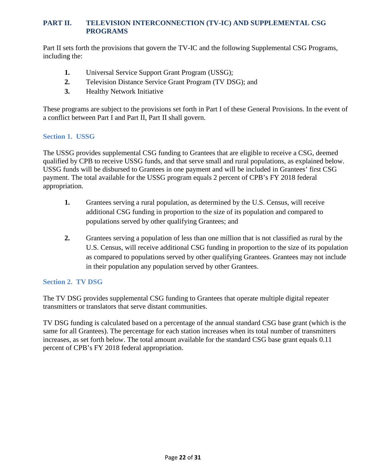## <span id="page-21-0"></span>**PART II. TELEVISION INTERCONNECTION (TV-IC) AND SUPPLEMENTAL CSG PROGRAMS**

Part II sets forth the provisions that govern the TV-IC and the following Supplemental CSG Programs, including the:

- **1.** Universal Service Support Grant Program (USSG);
- **2.** Television Distance Service Grant Program (TV DSG); and
- **3.** Healthy Network Initiative

These programs are subject to the provisions set forth in Part I of these General Provisions. In the event of a conflict between Part I and Part II, Part II shall govern.

## <span id="page-21-1"></span>**Section 1. USSG**

The USSG provides supplemental CSG funding to Grantees that are eligible to receive a CSG, deemed qualified by CPB to receive USSG funds, and that serve small and rural populations, as explained below. USSG funds will be disbursed to Grantees in one payment and will be included in Grantees' first CSG payment. The total available for the USSG program equals 2 percent of CPB's FY 2018 federal appropriation.

- **1.** Grantees serving a rural population, as determined by the U.S. Census, will receive additional CSG funding in proportion to the size of its population and compared to populations served by other qualifying Grantees; and
- **2.** Grantees serving a population of less than one million that is not classified as rural by the U.S. Census, will receive additional CSG funding in proportion to the size of its population as compared to populations served by other qualifying Grantees. Grantees may not include in their population any population served by other Grantees.

## <span id="page-21-2"></span>**Section 2. TV DSG**

The TV DSG provides supplemental CSG funding to Grantees that operate multiple digital repeater transmitters or translators that serve distant communities.

TV DSG funding is calculated based on a percentage of the annual standard CSG base grant (which is the same for all Grantees). The percentage for each station increases when its total number of transmitters increases, as set forth below. The total amount available for the standard CSG base grant equals 0.11 percent of CPB's FY 2018 federal appropriation.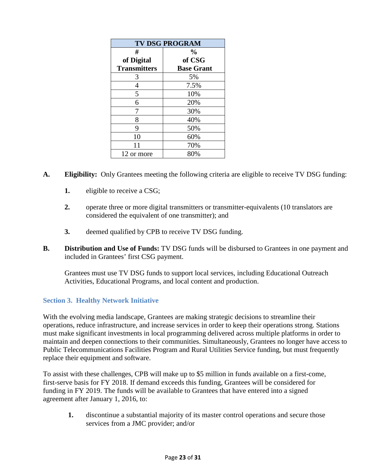| <b>TV DSG PROGRAM</b> |                   |  |  |  |
|-----------------------|-------------------|--|--|--|
| #                     | $\frac{0}{0}$     |  |  |  |
| of Digital            | of CSG            |  |  |  |
| <b>Transmitters</b>   | <b>Base Grant</b> |  |  |  |
| 3                     | 5%                |  |  |  |
| 4                     | 7.5%              |  |  |  |
| 5                     | 10%               |  |  |  |
| 6                     | 20%               |  |  |  |
| 7                     | 30%               |  |  |  |
| 8                     | 40%               |  |  |  |
| 9                     | 50%               |  |  |  |
| 10                    | 60%               |  |  |  |
| 11                    | 70%               |  |  |  |
| 12 or more            | 80%               |  |  |  |

- **A. Eligibility:** Only Grantees meeting the following criteria are eligible to receive TV DSG funding:
	- **1.** eligible to receive a CSG;
	- **2.** operate three or more digital transmitters or transmitter-equivalents (10 translators are considered the equivalent of one transmitter); and
	- **3.** deemed qualified by CPB to receive TV DSG funding.
- **B. Distribution and Use of Funds:** TV DSG funds will be disbursed to Grantees in one payment and included in Grantees' first CSG payment.

Grantees must use TV DSG funds to support local services, including Educational Outreach Activities, Educational Programs, and local content and production.

## <span id="page-22-0"></span>**Section 3. Healthy Network Initiative**

With the evolving media landscape, Grantees are making strategic decisions to streamline their operations, reduce infrastructure, and increase services in order to keep their operations strong. Stations must make significant investments in local programming delivered across multiple platforms in order to maintain and deepen connections to their communities. Simultaneously, Grantees no longer have access to Public Telecommunications Facilities Program and Rural Utilities Service funding, but must frequently replace their equipment and software.

To assist with these challenges, CPB will make up to \$5 million in funds available on a first-come, first-serve basis for FY 2018. If demand exceeds this funding, Grantees will be considered for funding in FY 2019. The funds will be available to Grantees that have entered into a signed agreement after January 1, 2016, to:

**1.** discontinue a substantial majority of its master control operations and secure those services from a JMC provider; and/or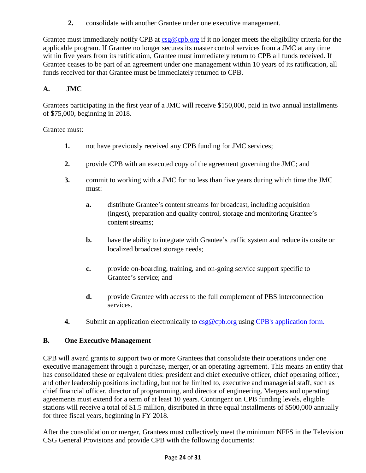**2.** consolidate with another Grantee under one executive management.

Grantee must immediately notify CPB at  $csg@cpb.org$  if it no longer meets the eligibility criteria for the applicable program. If Grantee no longer secures its master control services from a JMC at any time within five years from its ratification, Grantee must immediately return to CPB all funds received. If Grantee ceases to be part of an agreement under one management within 10 years of its ratification, all funds received for that Grantee must be immediately returned to CPB.

## **A. JMC**

Grantees participating in the first year of a JMC will receive \$150,000, paid in two annual installments of \$75,000, beginning in 2018.

Grantee must:

- **1.** not have previously received any CPB funding for JMC services;
- **2.** provide CPB with an executed copy of the agreement governing the JMC; and
- **3.** commit to working with a JMC for no less than five years during which time the JMC must:
	- **a.** distribute Grantee's content streams for broadcast, including acquisition (ingest), preparation and quality control, storage and monitoring Grantee's content streams;
	- **b.** have the ability to integrate with Grantee's traffic system and reduce its onsite or localized broadcast storage needs;
	- **c.** provide on-boarding, training, and on-going service support specific to Grantee's service; and
	- **d.** provide Grantee with access to the full complement of PBS interconnection services.
- **4.** Submit an application electronically to  $\csc{\varphi}$  cpb.org using [CPB's application form.](http://www.cpb.org/grants/healthy-network-initiative-public-television-stations)

## **B. One Executive Management**

CPB will award grants to support two or more Grantees that consolidate their operations under one executive management through a purchase, merger, or an operating agreement. This means an entity that has consolidated these or equivalent titles: president and chief executive officer, chief operating officer, and other leadership positions including, but not be limited to, executive and managerial staff, such as chief financial officer, director of programming, and director of engineering. Mergers and operating agreements must extend for a term of at least 10 years. Contingent on CPB funding levels, eligible stations will receive a total of \$1.5 million, distributed in three equal installments of \$500,000 annually for three fiscal years, beginning in FY 2018.

After the consolidation or merger, Grantees must collectively meet the minimum NFFS in the Television CSG General Provisions and provide CPB with the following documents: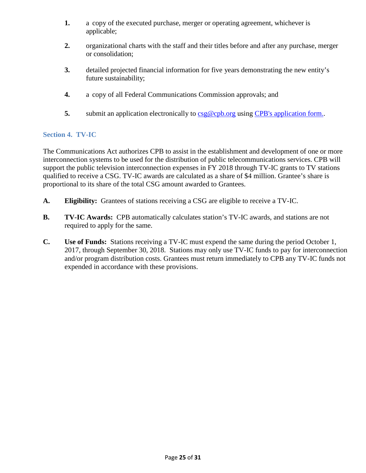- **1.** a copy of the executed purchase, merger or operating agreement, whichever is applicable;
- **2.** organizational charts with the staff and their titles before and after any purchase, merger or consolidation;
- **3.** detailed projected financial information for five years demonstrating the new entity's future sustainability;
- **4.** a copy of all Federal Communications Commission approvals; and
- **5.** submit an application electronically to  $\frac{\text{csg@cpb.org}}{\text{cgb.com}}$  using [CPB's application form..](http://www.cpb.org/grants/healthy-network-initiative-public-television-stations)

#### <span id="page-24-0"></span>**Section 4. TV-IC**

The Communications Act authorizes CPB to assist in the establishment and development of one or more interconnection systems to be used for the distribution of public telecommunications services. CPB will support the public television interconnection expenses in FY 2018 through TV-IC grants to TV stations qualified to receive a CSG. TV-IC awards are calculated as a share of \$4 million. Grantee's share is proportional to its share of the total CSG amount awarded to Grantees.

- **A. Eligibility:** Grantees of stations receiving a CSG are eligible to receive a TV-IC.
- **B. TV-IC Awards:** CPB automatically calculates station's TV-IC awards, and stations are not required to apply for the same.
- **C. Use of Funds:** Stations receiving a TV-IC must expend the same during the period October 1, 2017, through September 30, 2018. Stations may only use TV-IC funds to pay for interconnection and/or program distribution costs. Grantees must return immediately to CPB any TV-IC funds not expended in accordance with these provisions.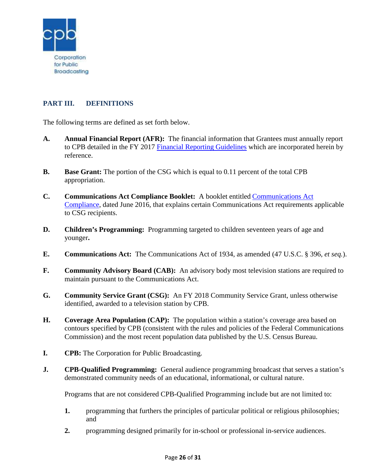

# <span id="page-25-0"></span>**PART III. DEFINITIONS**

The following terms are defined as set forth below.

- **A. Annual Financial Report (AFR):** The financial information that Grantees must annually report to CPB detailed in the FY 2017 [Financial Reporting Guidelines](http://www.cpb.org/stations/frg/) which are incorporated herein by reference.
- **B. Base Grant:** The portion of the CSG which is equal to 0.11 percent of the total CPB appropriation.
- **C. Communications Act Compliance Booklet:** A booklet entitled [Communications Act](http://www.cpb.org/stations/certification)  [Compliance,](http://www.cpb.org/stations/certification) dated June 2016, that explains certain Communications Act requirements applicable to CSG recipients.
- **D. Children's Programming:** Programming targeted to children seventeen years of age and younger**.**
- **E. Communications Act:** The Communications Act of 1934, as amended (47 U.S.C. § 396, *et seq.*).
- **F. Community Advisory Board (CAB):** An advisory body most television stations are required to maintain pursuant to the Communications Act.
- **G. Community Service Grant (CSG):** An FY 2018 Community Service Grant, unless otherwise identified, awarded to a television station by CPB.
- **H. Coverage Area Population (CAP):** The population within a station's coverage area based on contours specified by CPB (consistent with the rules and policies of the Federal Communications Commission) and the most recent population data published by the U.S. Census Bureau.
- **I. CPB:** The Corporation for Public Broadcasting.
- **J. CPB-Qualified Programming:** General audience programming broadcast that serves a station's demonstrated community needs of an educational, informational, or cultural nature.

Programs that are not considered CPB-Qualified Programming include but are not limited to:

- **1.** programming that furthers the principles of particular political or religious philosophies; and
- **2.** programming designed primarily for in-school or professional in-service audiences.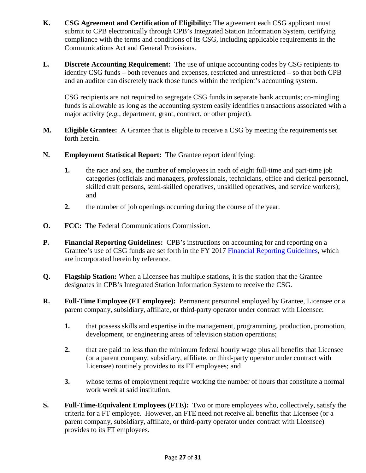- **K. CSG Agreement and Certification of Eligibility:** The agreement each CSG applicant must submit to CPB electronically through CPB's Integrated Station Information System, certifying compliance with the terms and conditions of its CSG, including applicable requirements in the Communications Act and General Provisions.
- **L. Discrete Accounting Requirement:** The use of unique accounting codes by CSG recipients to identify CSG funds – both revenues and expenses, restricted and unrestricted – so that both CPB and an auditor can discretely track those funds within the recipient's accounting system.

CSG recipients are not required to segregate CSG funds in separate bank accounts; co-mingling funds is allowable as long as the accounting system easily identifies transactions associated with a major activity (*e.g.*, department, grant, contract, or other project).

- **M. Eligible Grantee:** A Grantee that is eligible to receive a CSG by meeting the requirements set forth herein.
- **N. Employment Statistical Report:** The Grantee report identifying:
	- **1.** the race and sex, the number of employees in each of eight full-time and part-time job categories (officials and managers, professionals, technicians, office and clerical personnel, skilled craft persons, semi-skilled operatives, unskilled operatives, and service workers); and
	- **2.** the number of job openings occurring during the course of the year.
- **O. FCC:** The Federal Communications Commission.
- **P. Financial Reporting Guidelines:** CPB's instructions on accounting for and reporting on a Grantee's use of CSG funds are set forth in the FY 2017 [Financial Reporting Guidelines,](http://www.cpb.org/stations/frg/) which are incorporated herein by reference.
- **Q. Flagship Station:** When a Licensee has multiple stations, it is the station that the Grantee designates in CPB's Integrated Station Information System to receive the CSG.
- **R. Full-Time Employee (FT employee):** Permanent personnel employed by Grantee, Licensee or a parent company, subsidiary, affiliate, or third-party operator under contract with Licensee:
	- **1.** that possess skills and expertise in the management, programming, production, promotion, development, or engineering areas of television station operations;
	- **2.** that are paid no less than the minimum federal hourly wage plus all benefits that Licensee (or a parent company, subsidiary, affiliate, or third-party operator under contract with Licensee) routinely provides to its FT employees; and
	- **3.** whose terms of employment require working the number of hours that constitute a normal work week at said institution.
- **S. Full-Time-Equivalent Employees (FTE):** Two or more employees who, collectively, satisfy the criteria for a FT employee. However, an FTE need not receive all benefits that Licensee (or a parent company, subsidiary, affiliate, or third-party operator under contract with Licensee) provides to its FT employees.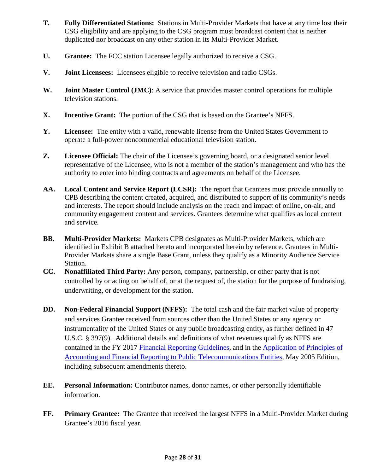- **T. Fully Differentiated Stations:** Stations in Multi-Provider Markets that have at any time lost their CSG eligibility and are applying to the CSG program must broadcast content that is neither duplicated nor broadcast on any other station in its Multi-Provider Market.
- **U. Grantee:** The FCC station Licensee legally authorized to receive a CSG.
- **V. Joint Licensees:** Licensees eligible to receive television and radio CSGs.
- **W. Joint Master Control (JMC)**: A service that provides master control operations for multiple television stations.
- **X. Incentive Grant:** The portion of the CSG that is based on the Grantee's NFFS.
- **Y. Licensee:** The entity with a valid, renewable license from the United States Government to operate a full-power noncommercial educational television station.
- **Z. Licensee Official:** The chair of the Licensee's governing board, or a designated senior level representative of the Licensee, who is not a member of the station's management and who has the authority to enter into binding contracts and agreements on behalf of the Licensee.
- **AA. Local Content and Service Report (LCSR):** The report that Grantees must provide annually to CPB describing the content created, acquired, and distributed to support of its community's needs and interests. The report should include analysis on the reach and impact of online, on-air, and community engagement content and services. Grantees determine what qualifies as local content and service.
- **BB. Multi-Provider Markets:** Markets CPB designates as Multi-Provider Markets, which are identified in Exhibit B attached hereto and incorporated herein by reference. Grantees in Multi-Provider Markets share a single Base Grant, unless they qualify as a Minority Audience Service Station.
- **CC. Nonaffiliated Third Party:** Any person, company, partnership, or other party that is not controlled by or acting on behalf of, or at the request of, the station for the purpose of fundraising, underwriting, or development for the station.
- **DD. Non-Federal Financial Support (NFFS):** The total cash and the fair market value of property and services Grantee received from sources other than the United States or any agency or instrumentality of the United States or any public broadcasting entity, as further defined in 47 U.S.C. § 397(9). Additional details and definitions of what revenues qualify as NFFS are contained in the FY 2017 [Financial Reporting Guidelines,](http://www.cpb.org/stations/frg/) and in the [Application of Principles of](http://www.cpb.org/stations/principles/principlesofaccounting050818.pdf)  [Accounting and Financial Reporting to Public Telecommunications Entities,](http://www.cpb.org/stations/principles/principlesofaccounting050818.pdf) May 2005 Edition, including subsequent amendments thereto.
- **EE. Personal Information:** Contributor names, donor names, or other personally identifiable information.
- **FF. Primary Grantee:** The Grantee that received the largest NFFS in a Multi-Provider Market during Grantee's 2016 fiscal year.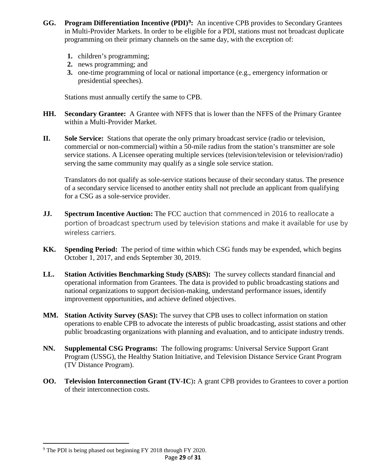- **GG. Program Differentiation Incentive (PDI)[9:](#page-28-0)** An incentive CPB provides to Secondary Grantees in Multi-Provider Markets. In order to be eligible for a PDI, stations must not broadcast duplicate programming on their primary channels on the same day, with the exception of:
	- **1.** children's programming;
	- **2.** news programming; and
	- **3.** one-time programming of local or national importance (e.g., emergency information or presidential speeches).

Stations must annually certify the same to CPB.

- **HH. Secondary Grantee:** A Grantee with NFFS that is lower than the NFFS of the Primary Grantee within a Multi-Provider Market.
- **II. Sole Service:** Stations that operate the only primary broadcast service (radio or television, commercial or non-commercial) within a 50-mile radius from the station's transmitter are sole service stations. A Licensee operating multiple services (television/television or television/radio) serving the same community may qualify as a single sole service station.

Translators do not qualify as sole-service stations because of their secondary status. The presence of a secondary service licensed to another entity shall not preclude an applicant from qualifying for a CSG as a sole-service provider.

- **JJ. Spectrum Incentive Auction:** The FCC auction that commenced in 2016 to reallocate a portion of broadcast spectrum used by television stations and make it available for use by wireless carriers.
- **KK. Spending Period:** The period of time within which CSG funds may be expended, which begins October 1, 2017, and ends September 30, 2019.
- **LL. Station Activities Benchmarking Study (SABS):** The survey collects standard financial and operational information from Grantees. The data is provided to public broadcasting stations and national organizations to support decision-making, understand performance issues, identify improvement opportunities, and achieve defined objectives.
- **MM. Station Activity Survey (SAS):** The survey that CPB uses to collect information on station operations to enable CPB to advocate the interests of public broadcasting, assist stations and other public broadcasting organizations with planning and evaluation, and to anticipate industry trends.
- **NN. Supplemental CSG Programs:** The following programs: Universal Service Support Grant Program (USSG), the Healthy Station Initiative, and Television Distance Service Grant Program (TV Distance Program).
- **OO. Television Interconnection Grant (TV-IC**)**:** A grant CPB provides to Grantees to cover a portion of their interconnection costs.

l

<span id="page-28-0"></span><sup>&</sup>lt;sup>9</sup> The PDI is being phased out beginning FY 2018 through FY 2020.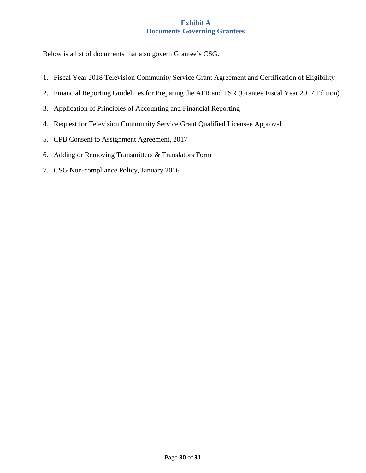## **Exhibit A Documents Governing Grantees**

<span id="page-29-0"></span>Below is a list of documents that also govern Grantee's CSG.

- 1. Fiscal Year 2018 Television Community Service Grant Agreement and Certification of Eligibility
- 2. Financial Reporting Guidelines for Preparing the AFR and FSR (Grantee Fiscal Year 2017 Edition)
- 3. Application of Principles of Accounting and Financial Reporting
- 4. Request for Television Community Service Grant Qualified Licensee Approval
- 5. CPB Consent to Assignment Agreement, 2017
- 6. Adding or Removing Transmitters & Translators Form
- 7. CSG Non-compliance Policy, January 2016